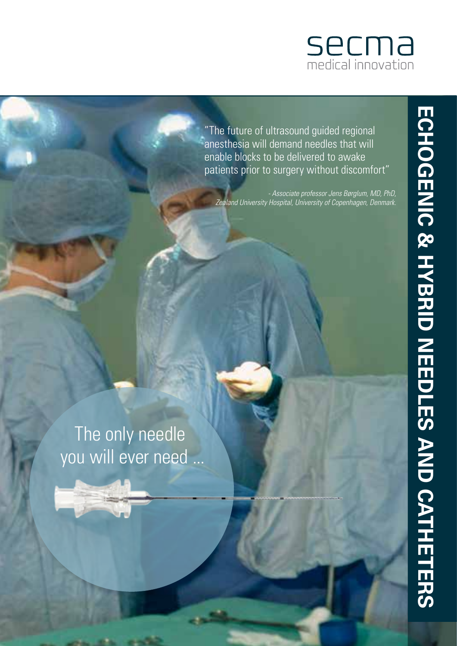

"The future of ultrasound guided regional anesthesia will demand needles that will enable blocks to be delivered to awake patients prior to surgery without discomfort"

 *- Associate professor Jens Børglum, MD, PhD, Zealand University Hospital, University of Copenhagen, Denmark.*

The only needle you will ever need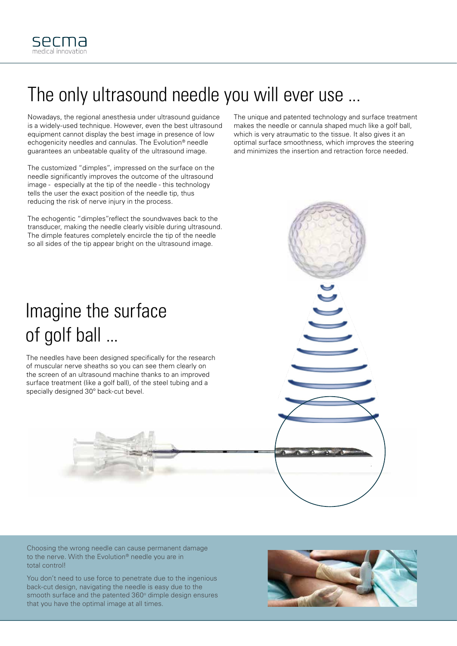

### The only ultrasound needle you will ever use ...

Nowadays, the regional anesthesia under ultrasound guidance is a widely-used technique. However, even the best ultrasound equipment cannot display the best image in presence of low echogenicity needles and cannulas. The Evolution® needle guarantees an unbeatable quality of the ultrasound image.

The customized "dimples", impressed on the surface on the needle significantly improves the outcome of the ultrasound image - especially at the tip of the needle - this technology tells the user the exact position of the needle tip, thus reducing the risk of nerve injury in the process.

The echogentic "dimples"reflect the soundwaves back to the transducer, making the needle clearly visible during ultrasound. The dimple features completely encircle the tip of the needle so all sides of the tip appear bright on the ultrasound image.

The unique and patented technology and surface treatment makes the needle or cannula shaped much like a golf ball, which is very atraumatic to the tissue. It also gives it an optimal surface smoothness, which improves the steering and minimizes the insertion and retraction force needed.



The needles have been designed specifically for the research of muscular nerve sheaths so you can see them clearly on the screen of an ultrasound machine thanks to an improved surface treatment (like a golf ball), of the steel tubing and a specially designed 30º back-cut bevel.



Choosing the wrong needle can cause permanent damage to the nerve. With the Evolution® needle you are in total control!

You don't need to use force to penetrate due to the ingenious back-cut design, navigating the needle is easy due to the smooth surface and the patented 360° dimple design ensures that you have the optimal image at all times.

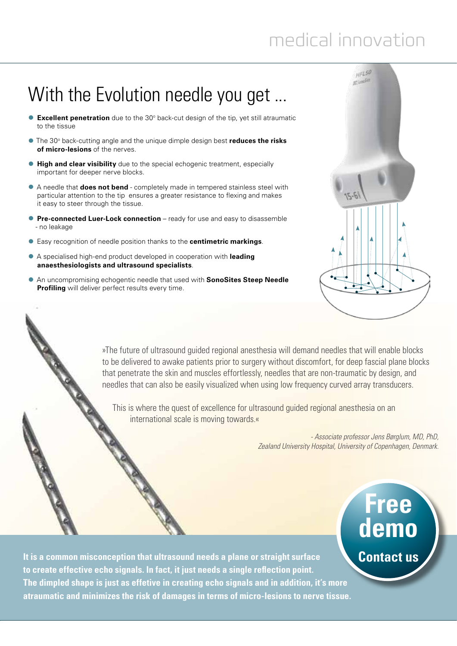# medical innovation

### With the Evolution needle you get ...

- **Excellent penetration** due to the 30° back-cut design of the tip, yet still atraumatic to the tissue
- **•** The 30° back-cutting angle and the unique dimple design best **reduces the risks of micro-lesions** of the nerves.
- **High and clear visibility** due to the special echogenic treatment, especially important for deeper nerve blocks.
- **•** A needle that **does not bend** completely made in tempered stainless steel with particular attention to the tip ensures a greater resistance to flexing and makes it easy to steer through the tissue.
- **Pre-connected Luer-Lock connection** ready for use and easy to disassemble - no leakage
- **•** Easy recognition of needle position thanks to the **centimetric markings**.
- **•** A specialised high-end product developed in cooperation with leading **anaesthesiologists and ultrasound specialists**. **EVOLUTION**<br> **EVOLUTION**<br> **EVOLUTION**<br> **EVOLUTION**<br> **EVOLUTION**<br> **EVOLUTION**<br> **EVOLUTION**<br> **EVOLUTION**<br> **EVOLUTION**<br> **EVOLUTION**<br> **EVOLUTION**<br> **EVOLUTION** 
	- **An uncompromising echogentic needle that used with SonoSites Steep Needle Profiling** will deliver perfect results every time.



»The future of ultrasound guided regional anesthesia will demand needles that will enable blocks to be delivered to awake patients prior to surgery without discomfort, for deep fascial plane blocks that penetrate the skin and muscles effortlessly, needles that are non-traumatic by design, and needles that can also be easily visualized when using low frequency curved array transducers.

This is where the quest of excellence for ultrasound quided regional anesthesia on an international scale is moving towards.«

> *- Associate professor Jens Børglum, MD, PhD, Zealand University Hospital, University of Copenhagen, Denmark.*

### **Free demo**

**It is a common misconception that ultrasound needs a plane or straight surface Contact us to create effective echo signals. In fact, it just needs a single reflection point. The dimpled shape is just as effetive in creating echo signals and in addition, it's more atraumatic and minimizes the risk of damages in terms of micro-lesions to nerve tissue.**